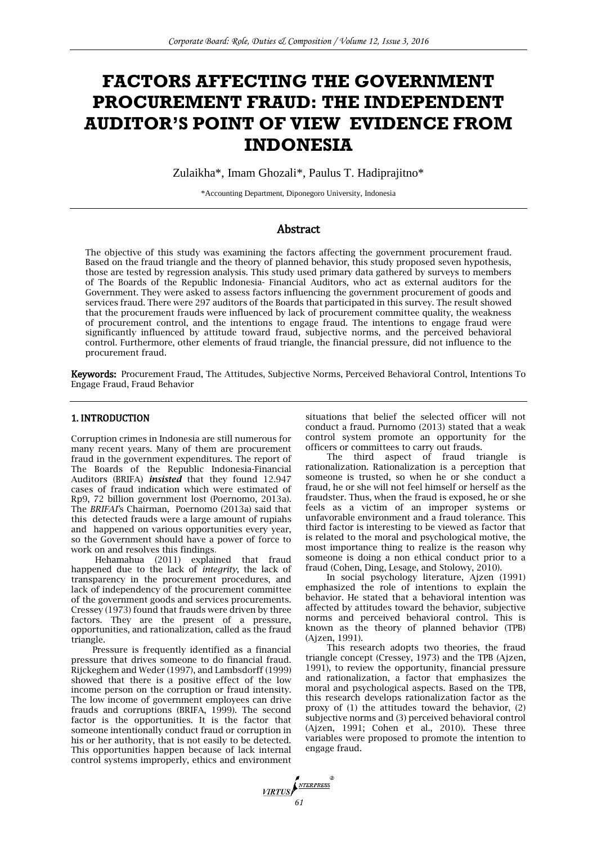# **FACTORS AFFECTING THE GOVERNMENT PROCUREMENT FRAUD: THE INDEPENDENT AUDITOR'S POINT OF VIEW EVIDENCE FROM INDONESIA**

Zulaikha\*, Imam Ghozali\*, Paulus T. Hadiprajitno\*

\*Accounting Department, Diponegoro University, Indonesia

# Abstract

The objective of this study was examining the factors affecting the government procurement fraud. Based on the fraud triangle and the theory of planned behavior, this study proposed seven hypothesis, those are tested by regression analysis. This study used primary data gathered by surveys to members of The Boards of the Republic Indonesia- Financial Auditors, who act as external auditors for the Government. They were asked to assess factors influencing the government procurement of goods and services fraud. There were 297 auditors of the Boards that participated in this survey. The result showed that the procurement frauds were influenced by lack of procurement committee quality, the weakness of procurement control, and the intentions to engage fraud. The intentions to engage fraud were significantly influenced by attitude toward fraud, subjective norms, and the perceived behavioral control. Furthermore, other elements of fraud triangle, the financial pressure, did not influence to the procurement fraud.

Keywords: Procurement Fraud, The Attitudes, Subjective Norms, Perceived Behavioral Control, Intentions To Engage Fraud, Fraud Behavior

## 1. INTRODUCTION

Corruption crimes in Indonesia are still numerous for many recent years. Many of them are procurement fraud in the government expenditures. The report of The Boards of the Republic Indonesia-Financial Auditors (BRIFA) *insisted* that they found 12.947 cases of fraud indication which were estimated of Rp9, 72 billion government lost (Poernomo, 2013a). The *BRIFAI'*s Chairman, Poernomo (2013a) said that this detected frauds were a large amount of rupiahs and happened on various opportunities every year, so the Government should have a power of force to work on and resolves this findings.

Hehamahua (2011) explained that fraud happened due to the lack of *integrity*, the lack of transparency in the procurement procedures, and lack of independency of the procurement committee of the government goods and services procurements. Cressey (1973) found that frauds were driven by three factors. They are the present of a pressure, opportunities, and rationalization, called as the fraud triangle.

Pressure is frequently identified as a financial pressure that drives someone to do financial fraud. Rijckeghem and Weder (1997), and Lambsdorff (1999) showed that there is a positive effect of the low income person on the corruption or fraud intensity. The low income of government employees can drive frauds and corruptions (BRIFA, 1999). The second factor is the opportunities. It is the factor that someone intentionally conduct fraud or corruption in his or her authority, that is not easily to be detected. This opportunities happen because of lack internal control systems improperly, ethics and environment

situations that belief the selected officer will not conduct a fraud. Purnomo (2013) stated that a weak control system promote an opportunity for the officers or committees to carry out frauds.

The third aspect of fraud triangle is rationalization. Rationalization is a perception that someone is trusted, so when he or she conduct a fraud*,* he or she will not feel himself or herself as the fraudster. Thus, when the fraud is exposed, he or she feels as a victim of an improper systems or unfavorable environment and a fraud tolerance. This third factor is interesting to be viewed as factor that is related to the moral and psychological motive, the most importance thing to realize is the reason why someone is doing a non ethical conduct prior to a fraud (Cohen, Ding, Lesage, and Stolowy, 2010).

In social psychology literature, Ajzen (1991) emphasized the role of intentions to explain the behavior. He stated that a behavioral intention was affected by attitudes toward the behavior, subjective norms and perceived behavioral control. This is known as the theory of planned behavior (TPB) (Ajzen, 1991).

This research adopts two theories, the fraud triangle concept (Cressey, 1973) and the TPB (Ajzen, 1991), to review the opportunity, financial pressure and rationalization, a factor that emphasizes the moral and psychological aspects. Based on the TPB, this research develops rationalization factor as the proxy of (1) the attitudes toward the behavior, (2) subjective norms and (3) perceived behavioral control (Ajzen, 1991; Cohen et al., 2010). These three variables were proposed to promote the intention to engage fraud.

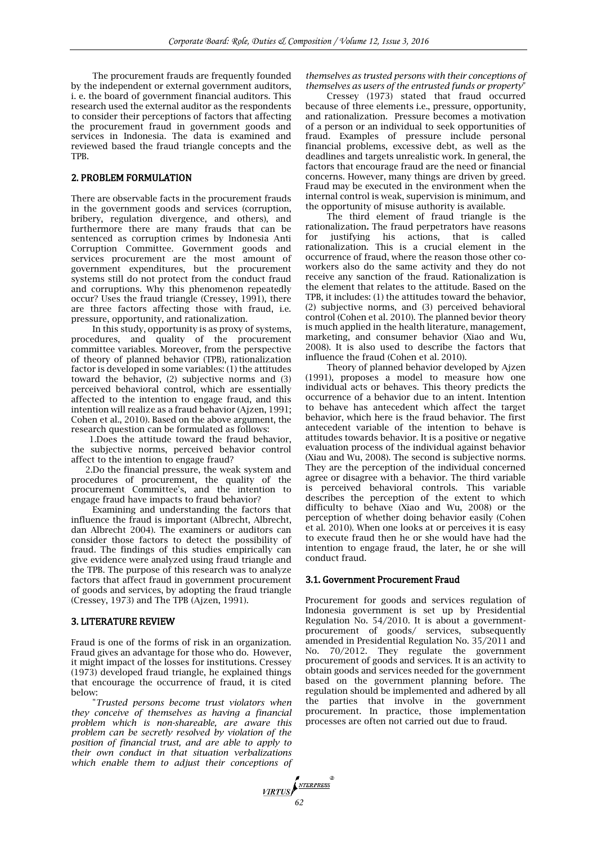The procurement frauds are frequently founded by the independent or external government auditors, i. e. the board of government financial auditors. This research used the external auditor as the respondents to consider their perceptions of factors that affecting the procurement fraud in government goods and services in Indonesia. The data is examined and reviewed based the fraud triangle concepts and the TPB.

#### 2. PROBLEM FORMULATION

There are observable facts in the procurement frauds in the government goods and services (corruption, bribery, regulation divergence, and others), and furthermore there are many frauds that can be sentenced as corruption crimes by Indonesia Anti Corruption Committee. Government goods and services procurement are the most amount of government expenditures, but the procurement systems still do not protect from the conduct fraud and corruptions. Why this phenomenon repeatedly occur? Uses the fraud triangle (Cressey, 1991), there are three factors affecting those with fraud, i.e. pressure, opportunity, and rationalization.

In this study, opportunity is as proxy of systems, procedures, and quality of the procurement committee variables. Moreover, from the perspective of theory of planned behavior (TPB), rationalization factor is developed in some variables: (1) the attitudes toward the behavior, (2) subjective norms and (3) perceived behavioral control, which are essentially affected to the intention to engage fraud, and this intention will realize as a fraud behavior (Ajzen, 1991; Cohen et al., 2010). Based on the above argument, the research question can be formulated as follows:

1.Does the attitude toward the fraud behavior, the subjective norms, perceived behavior control affect to the intention to engage fraud?

2.Do the financial pressure, the weak system and procedures of procurement, the quality of the procurement Committee's, and the intention to engage fraud have impacts to fraud behavior?

Examining and understanding the factors that influence the fraud is important (Albrecht, Albrecht, dan Albrecht 2004). The examiners or auditors can consider those factors to detect the possibility of fraud. The findings of this studies empirically can give evidence were analyzed using fraud triangle and the TPB. The purpose of this research was to analyze factors that affect fraud in government procurement of goods and services, by adopting the fraud triangle (Cressey, 1973) and The TPB (Ajzen, 1991).

#### 3. LITERATURE REVIEW

Fraud is one of the forms of risk in an organization. Fraud gives an advantage for those who do. However, it might impact of the losses for institutions. Cressey (1973) developed fraud triangle, he explained things that encourage the occurrence of fraud, it is cited below:

"*Trusted persons become trust violators when they conceive of themselves as having a financial problem which is non-shareable, are aware this problem can be secretly resolved by violation of the position of financial trust, and are able to apply to their own conduct in that situation verbalizations which enable them to adjust their conceptions of*  *themselves as trusted persons with their conceptions of themselves as users of the entrusted funds or property*"

Cressey (1973) stated that fraud occurred because of three elements i.e., pressure, opportunity, and rationalization. Pressure becomes a motivation of a person or an individual to seek opportunities of fraud. Examples of pressure include personal financial problems, excessive debt, as well as the deadlines and targets unrealistic work. In general, the factors that encourage fraud are the need or financial concerns. However, many things are driven by greed. Fraud may be executed in the environment when the internal control is weak, supervision is minimum, and the opportunity of misuse authority is available.

The third element of fraud triangle is the rationalization*.* The fraud perpetrators have reasons for justifying his actions, that is called rationalization. This is a crucial element in the occurrence of fraud, where the reason those other coworkers also do the same activity and they do not receive any sanction of the fraud. Rationalization is the element that relates to the attitude. Based on the TPB, it includes: (1) the attitudes toward the behavior, (2) subjective norms, and (3) perceived behavioral control (Cohen et al. 2010). The planned bevior theory is much applied in the health literature, management, marketing, and consumer behavior (Xiao and Wu, 2008). It is also used to describe the factors that influence the fraud (Cohen et al. 2010).

Theory of planned behavior developed by Ajzen (1991), proposes a model to measure how one individual acts or behaves. This theory predicts the occurrence of a behavior due to an intent. Intention to behave has antecedent which affect the target behavior, which here is the fraud behavior*.* The first antecedent variable of the intention to behave is attitudes towards behavior. It is a positive or negative evaluation process of the individual against behavior (Xiau and Wu, 2008). The second is subjective norms. They are the perception of the individual concerned agree or disagree with a behavior. The third variable is perceived behavioral controls. This variable describes the perception of the extent to which difficulty to behave (Xiao and Wu, 2008) or the perception of whether doing behavior easily (Cohen et al. 2010). When one looks at or perceives it is easy to execute fraud then he or she would have had the intention to engage fraud, the later, he or she will conduct fraud.

#### 3.1. Government Procurement Fraud

Procurement for goods and services regulation of Indonesia government is set up by Presidential Regulation No. 54/2010. It is about a governmentprocurement of goods/ services, subsequently amended in Presidential Regulation No. 35/2011 and No. 70/2012. They regulate the government procurement of goods and services. It is an activity to obtain goods and services needed for the government based on the government planning before. The regulation should be implemented and adhered by all the parties that involve in the government procurement. In practice, those implementation processes are often not carried out due to fraud.

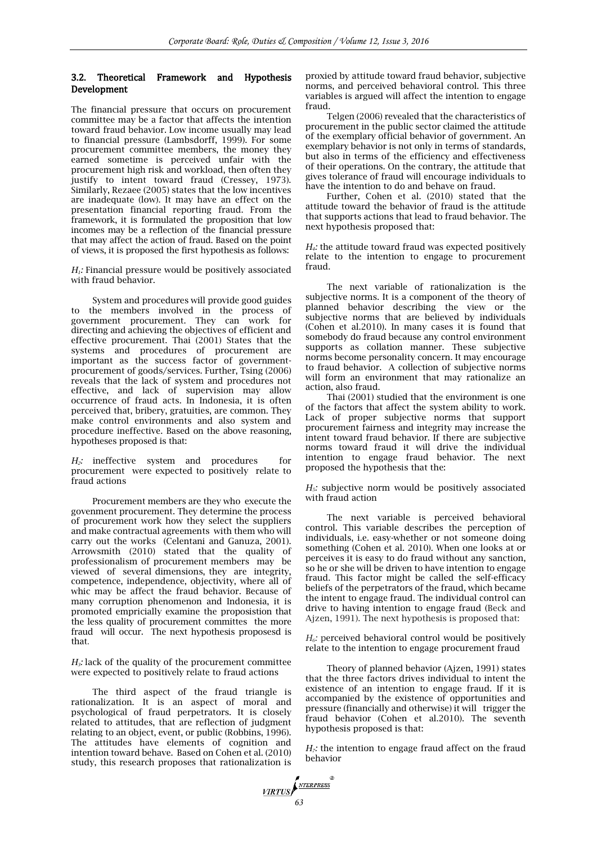## 3.2. Theoretical Framework and Hypothesis Development

The financial pressure that occurs on procurement committee may be a factor that affects the intention toward fraud behavior. Low income usually may lead to financial pressure (Lambsdorff, 1999). For some procurement committee members, the money they earned sometime is perceived unfair with the procurement high risk and workload, then often they justify to intent toward fraud (Cressey, 1973). Similarly, Rezaee (2005) states that the low incentives are inadequate (low). It may have an effect on the presentation financial reporting fraud. From the framework, it is formulated the proposition that low incomes may be a reflection of the financial pressure that may affect the action of fraud. Based on the point of views, it is proposed the first hypothesis as follows:

*H1:* Financial pressure would be positively associated with fraud behavior.

System and procedures will provide good guides to the members involved in the process of government procurement. They can work for directing and achieving the objectives of efficient and effective procurement. Thai (2001) States that the systems and procedures of procurement are important as the success factor of governmentprocurement of goods/services. Further, Tsing (2006) reveals that the lack of system and procedures not effective, and lack of supervision may allow occurrence of fraud acts*.* In Indonesia, it is often perceived that, bribery, gratuities, are common. They make control environments and also system and procedure ineffective. Based on the above reasoning, hypotheses proposed is that:

*H2:* ineffective system and procedures for procurement were expected to positively relate to fraud actions

Procurement members are they who execute the govenment procurement. They determine the process of procurement work how they select the suppliers and make contractual agreements with them who will carry out the works (Celentani and Ganuza, 2001). Arrowsmith (2010) stated that the quality of professionalism of procurement members may be viewed of several dimensions, they are integrity, competence, independence, objectivity, where all of whic may be affect the fraud behavior. Because of many corruption phenomenon and Indonesia, it is promoted empricially examine the proposistion that the less quality of procurement committes the more fraud will occur. The next hypothesis proposesd is that.

*H3:* lack of the quality of the procurement committee were expected to positively relate to fraud actions

The third aspect of the fraud triangle is rationalization. It is an aspect of moral and psychological of fraud perpetrators. It is closely related to attitudes, that are reflection of judgment relating to an object, event, or public (Robbins, 1996). The attitudes have elements of cognition and intention toward behave. Based on Cohen et al. (2010) study, this research proposes that rationalization is proxied by attitude toward fraud behavior, subjective norms, and perceived behavioral control. This three variables is argued will affect the intention to engage fraud.

Telgen (2006) revealed that the characteristics of procurement in the public sector claimed the attitude of the exemplary official behavior of government. An exemplary behavior is not only in terms of standards, but also in terms of the efficiency and effectiveness of their operations. On the contrary, the attitude that gives tolerance of fraud will encourage individuals to have the intention to do and behave on fraud.

Further, Cohen et al. (2010) stated that the attitude toward the behavior of fraud is the attitude that supports actions that lead to fraud behavior. The next hypothesis proposed that:

*H4:* the attitude toward fraud was expected positively relate to the intention to engage to procurement fraud.

The next variable of rationalization is the subjective norms. It is a component of the theory of planned behavior describing the view or the subjective norms that are believed by individuals (Cohen et al.2010). In many cases it is found that somebody do fraud because any control environment supports as collation manner. These subjective norms become personality concern. It may encourage to fraud behavior. A collection of subjective norms will form an environment that may rationalize an action, also fraud.

Thai (2001) studied that the environment is one of the factors that affect the system ability to work. Lack of proper subjective norms that support procurement fairness and integrity may increase the intent toward fraud behavior. If there are subjective norms toward fraud it will drive the individual intention to engage fraud behavior. The next proposed the hypothesis that the:

*H5:* subjective norm would be positively associated with fraud action

The next variable is perceived behavioral control. This variable describes the perception of individuals, i.e. easy-whether or not someone doing something (Cohen et al. 2010). When one looks at or perceives it is easy to do fraud without any sanction, so he or she will be driven to have intention to engage fraud. This factor might be called the self-efficacy beliefs of the perpetrators of the fraud, which became the intent to engage fraud. The individual control can drive to having intention to engage fraud (Beck and Ajzen, 1991). The next hypothesis is proposed that:

*H6:* perceived behavioral control would be positively relate to the intention to engage procurement fraud

Theory of planned behavior (Ajzen, 1991) states that the three factors drives individual to intent the existence of an intention to engage fraud. If it is accompanied by the existence of opportunities and pressure (financially and otherwise) it will trigger the fraud behavior (Cohen et al.2010). The seventh hypothesis proposed is that:

*H7:* the intention to engage fraud affect on the fraud behavior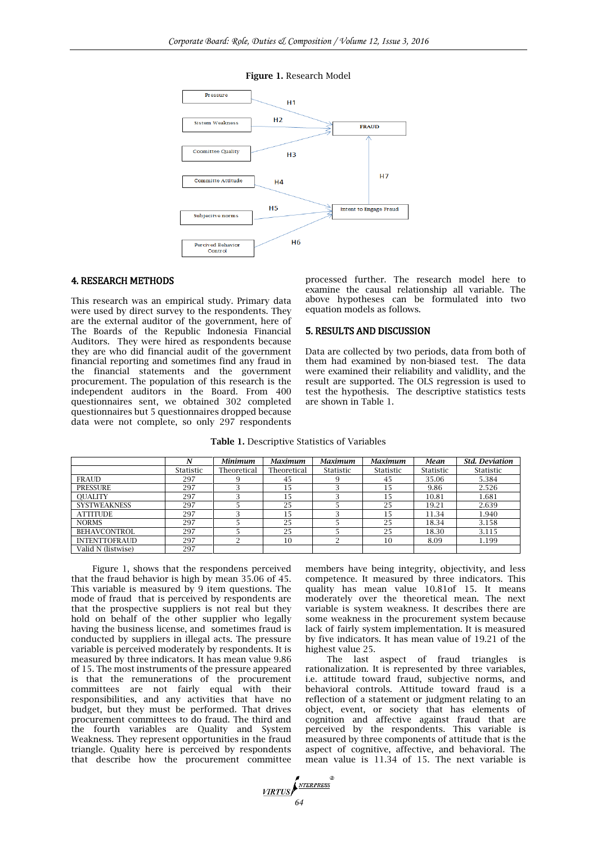



## 4. RESEARCH METHODS

This research was an empirical study. Primary data were used by direct survey to the respondents. They are the external auditor of the government, here of The Boards of the Republic Indonesia Financial Auditors. They were hired as respondents because they are who did financial audit of the government financial reporting and sometimes find any fraud in the financial statements and the government procurement. The population of this research is the independent auditors in the Board. From 400 questionnaires sent, we obtained 302 completed questionnaires but 5 questionnaires dropped because data were not complete, so only 297 respondents processed further. The research model here to examine the causal relationship all variable. The above hypotheses can be formulated into two equation models as follows.

#### 5. RESULTS AND DISCUSSION

Data are collected by two periods, data from both of them had examined by non-biased test. The data were examined their reliability and validlity, and the result are supported. The OLS regression is used to test the hypothesis. The descriptive statistics tests are shown in Table 1.

|                      | N         | Minimum     | <b>Maximum</b> | Maximum   | <b>Maximum</b> | Mean      | <b>Std. Deviation</b> |
|----------------------|-----------|-------------|----------------|-----------|----------------|-----------|-----------------------|
|                      | Statistic | Theoretical | Theoretical    | Statistic | Statistic      | Statistic | Statistic             |
| <b>FRAUD</b>         | 297       |             | 45             |           | 45             | 35.06     | 5.384                 |
| <b>PRESSURE</b>      | 297       |             | ι5             |           | 15             | 9.86      | 2.526                 |
| <b>OUALITY</b>       | 297       |             | 15             |           | 15             | 10.81     | 1.681                 |
| <b>SYSTWEAKNESS</b>  | 297       |             | 25             |           | 25             | 19.21     | 2.639                 |
| <b>ATTITUDE</b>      | 297       |             | 15             | 3         | 15             | 11.34     | 1.940                 |
| <b>NORMS</b>         | 297       |             | 25             |           | 25             | 18.34     | 3.158                 |
| <b>BEHAVCONTROL</b>  | 297       |             | 25             |           | 25             | 18.30     | 3.115                 |
| <b>INTENTTOFRAUD</b> | 297       |             | 10             | ി         | 10             | 8.09      | 1.199                 |
| Valid N (listwise)   | 297       |             |                |           |                |           |                       |

#### Table 1. Descriptive Statistics of Variables

Figure 1, shows that the respondens perceived that the fraud behavior is high by mean 35.06 of 45. This variable is measured by 9 item questions. The mode of fraud that is perceived by respondents are that the prospective suppliers is not real but they hold on behalf of the other supplier who legally having the business license, and sometimes fraud is conducted by suppliers in illegal acts. The pressure variable is perceived moderately by respondents. It is measured by three indicators. It has mean value 9.86 of 15. The most instruments of the pressure appeared is that the remunerations of the procurement committees are not fairly equal with their responsibilities, and any activities that have no budget, but they must be performed. That drives procurement committees to do fraud. The third and the fourth variables are Quality and System Weakness. They represent opportunities in the fraud triangle. Quality here is perceived by respondents that describe how the procurement committee

members have being integrity, objectivity, and less competence. It measured by three indicators. This quality has mean value 10.81of 15. It means moderately over the theoretical mean. The next variable is system weakness. It describes there are some weakness in the procurement system because lack of fairly system implementation. It is measured by five indicators. It has mean value of 19.21 of the highest value 25.

The last aspect of fraud triangles is rationalization. It is represented by three variables, i.e. attitude toward fraud, subjective norms, and behavioral controls. Attitude toward fraud is a reflection of a statement or judgment relating to an object, event, or society that has elements of cognition and affective against fraud that are perceived by the respondents. This variable is measured by three components of attitude that is the aspect of cognitive, affective, and behavioral. The mean value is 11.34 of 15. The next variable is

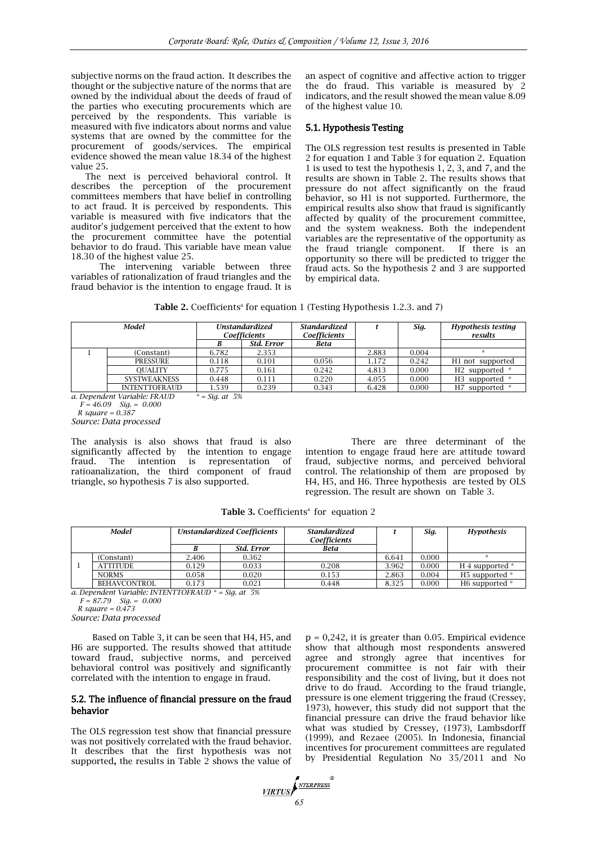subjective norms on the fraud action. It describes the thought or the subjective nature of the norms that are owned by the individual about the deeds of fraud of the parties who executing procurements which are perceived by the respondents. This variable is measured with five indicators about norms and value systems that are owned by the committee for the procurement of goods/services. The empirical evidence showed the mean value 18.34 of the highest value 25.

The next is perceived behavioral control. It describes the perception of the procurement committees members that have belief in controlling to act fraud. It is perceived by respondents. This variable is measured with five indicators that the auditor's judgement perceived that the extent to how the procurement committee have the potential behavior to do fraud. This variable have mean value 18.30 of the highest value 25.

The intervening variable between three variables of rationalization of fraud triangles and the fraud behavior is the intention to engage fraud. It is

an aspect of cognitive and affective action to trigger the do fraud. This variable is measured by 2 indicators, and the result showed the mean value 8.09 of the highest value 10.

## 5.1. Hypothesis Testing

The OLS regression test results is presented in Table 2 for equation 1 and Table 3 for equation 2. Equation 1 is used to test the hypothesis 1, 2, 3, and 7, and the results are shown in Table 2. The results shows that pressure do not affect significantly on the fraud behavior, so H1 is not supported. Furthermore, the empirical results also show that fraud is significantly affected by quality of the procurement committee, and the system weakness. Both the independent variables are the representative of the opportunity as the fraud triangle component. If there is an opportunity so there will be predicted to trigger the fraud acts. So the hypothesis 2 and 3 are supported by empirical data.

|  | Table 2. Coefficients <sup>a</sup> for equation 1 (Testing Hypothesis 1.2.3. and 7) |  |  |  |  |  |
|--|-------------------------------------------------------------------------------------|--|--|--|--|--|
|--|-------------------------------------------------------------------------------------|--|--|--|--|--|

| Model |                      | <b>Unstandardized</b><br>Coefficients |            | <b>Standardized</b><br>Coefficients |       | Sig.  | Hypothesis testing<br>results |  |
|-------|----------------------|---------------------------------------|------------|-------------------------------------|-------|-------|-------------------------------|--|
|       |                      |                                       | Std. Error | Beta                                |       |       |                               |  |
|       | (Constant)           | 6.782                                 | 2.353      |                                     | 2.883 | 0.004 | $\star$                       |  |
|       | <b>PRESSURE</b>      | 0.118                                 | 0.101      | 0.056                               | 1.172 | 0.242 | H1 not supported              |  |
|       | <b>OUALITY</b>       | 0.775                                 | 0.161      | 0.242                               | 4.813 | 0.000 | H <sub>2</sub> supported *    |  |
|       | <b>SYSTWEAKNESS</b>  | 0.448                                 | 0.111      | 0.220                               | 4.055 | 0.000 | H3 supported *                |  |
|       | <b>INTENTTOFRAUD</b> | 1.539                                 | 0.239      | 0.343                               | 6.428 | 0.000 | H7 supported *                |  |

*a. Dependent Variable: FRAUD \* = Sig. at 5%*

 *F = 46.09 Sig. = 0.000 R square = 0.387*

*Source: Data processed*

The analysis is also shows that fraud is also significantly affected by the intention to engage fraud. The intention is representation of ratioanalization, the third component of fraud triangle, so hypothesis 7 is also supported.

There are three determinant of the intention to engage fraud here are attitude toward fraud, subjective norms, and perceived behvioral control. The relationship of them are proposed by H4, H5, and H6. Three hypothesis are tested by OLS regression. The result are shown on Table 3.

Table 3. Coefficients<sup>a</sup> for equation 2

| Model<br><b>Unstandardized Coefficients</b> |       | <b>Standardized</b><br>Coefficients |             |       | Sig.  | Hypothesis                 |  |
|---------------------------------------------|-------|-------------------------------------|-------------|-------|-------|----------------------------|--|
|                                             |       | Std. Error                          | <b>Beta</b> |       |       |                            |  |
| (Constant)                                  | 2.406 | 0.362                               |             | 6.641 | 0.000 | $\star$                    |  |
| <b>ATTITUDE</b>                             | 0.129 | 0.033                               | 0.208       | 3.962 | 0.000 | H 4 supported *            |  |
| <b>NORMS</b>                                | 0.058 | 0.020                               | 0.153       | 2.863 | 0.004 | H <sub>5</sub> supported * |  |
| BEHAVCONTROL                                | 0.173 | 0.021                               | 0.448       | 8.325 | 0.000 | H6 supported *             |  |

*a. Dependent Variable: INTENTTOFRAUD \* = Sig. at 5%*

 *F = 87.79 Sig. = 0.000*

 *R square = 0.473*

*Source: Data processed*

Based on Table 3, it can be seen that H4, H5, and H6 are supported. The results showed that attitude toward fraud, subjective norms, and perceived behavioral control was positively and significantly correlated with the intention to engage in fraud.

## 5.2. The influence of financial pressure on the fraud behavior

The OLS regression test show that financial pressure was not positively correlated with the fraud behavior. It describes that the first hypothesis was not supported, the results in Table 2 shows the value of  $p = 0.242$ , it is greater than 0.05. Empirical evidence show that although most respondents answered agree and strongly agree that incentives for procurement committee is not fair with their responsibility and the cost of living, but it does not drive to do fraud. According to the fraud triangle, pressure is one element triggering the fraud (Cressey, 1973), however, this study did not support that the financial pressure can drive the fraud behavior like what was studied by Cressey, (1973), Lambsdorff (1999), and Rezaee (2005). In Indonesia, financial incentives for procurement committees are regulated by Presidential Regulation No 35/2011 and No

**VIRTUS**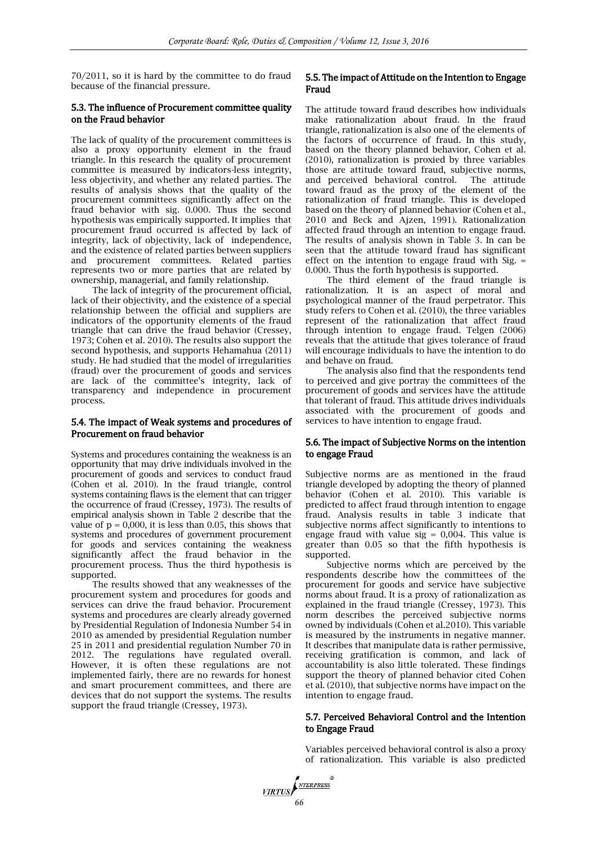70/2011, so it is hard by the committee to do fraud because of the financial pressure.

#### 5.3. The influence of Procurement committee quality on the Fraud behavior

The lack of quality of the procurement committees is also a proxy opportunity element in the fraud triangle. In this research the quality of procurement committee is measured by indicators-less integrity, less objectivity, and whether any related parties. The results of analysis shows that the quality of the procurement committees significantly affect on the fraud behavior with sig. 0.000. Thus the second hypothesis was empirically supported. It implies that procurement fraud occurred is affected by lack of integrity, lack of objectivity, lack of independence, and the existence of related parties between suppliers and procurement committees. Related parties represents two or more parties that are related by ownership, managerial, and family relationship.

The lack of integrity of the procurement official, lack of their objectivity, and the existence of a special relationship between the official and suppliers are indicators of the opportunity elements of the fraud triangle that can drive the fraud behavior (Cressey, 1973; Cohen et al. 2010). The results also support the second hypothesis, and supports Hehamahua (2011) study. He had studied that the model of irregularities (fraud) over the procurement of goods and services are lack of the committee's integrity, lack of transparency and independence in procurement process.

# 5.4. The impact of Weak systems and procedures of Procurement on fraud behavior

Systems and procedures containing the weakness is an opportunity that may drive individuals involved in the procurement of goods and services to conduct fraud (Cohen et al. 2010). In the fraud triangle, control systems containing flaws is the element that can trigger the occurrence of fraud (Cressey, 1973). The results of empirical analysis shown in Table 2 describe that the value of  $p = 0,000$ , it is less than 0.05, this shows that systems and procedures of government procurement for goods and services containing the weakness significantly affect the fraud behavior in the procurement process. Thus the third hypothesis is supported.

The results showed that any weaknesses of the procurement system and procedures for goods and services can drive the fraud behavior. Procurement systems and procedures are clearly already governed by Presidential Regulation of Indonesia Number 54 in 2010 as amended by presidential Regulation number 25 in 2011 and presidential regulation Number 70 in 2012. The regulations have regulated overall. However, it is often these regulations are not implemented fairly, there are no rewards for honest and smart procurement committees, and there are devices that do not support the systems. The results support the fraud triangle (Cressey, 1973).

# 5.5. The impact of Attitude on the Intention to Engage Fraud

The attitude toward fraud describes how individuals make rationalization about fraud. In the fraud triangle, rationalization is also one of the elements of the factors of occurrence of fraud. In this study, based on the theory planned behavior, Cohen et al. (2010), rationalization is proxied by three variables those are attitude toward fraud, subjective norms, and perceived behavioral control. The attitude toward fraud as the proxy of the element of the rationalization of fraud triangle. This is developed based on the theory of planned behavior (Cohen et al., 2010 and Beck and Ajzen, 1991). Rationalization affected fraud through an intention to engage fraud. The results of analysis shown in Table 3. In can be seen that the attitude toward fraud has significant effect on the intention to engage fraud with  $Sig. =$ 0.000. Thus the forth hypothesis is supported.

The third element of the fraud triangle is rationalization. It is an aspect of moral and psychological manner of the fraud perpetrator. This study refers to Cohen et al. (2010), the three variables represent of the rationalization that affect fraud through intention to engage fraud. Telgen (2006) reveals that the attitude that gives tolerance of fraud will encourage individuals to have the intention to do and behave on fraud.

The analysis also find that the respondents tend to perceived and give portray the committees of the procurement of goods and services have the attitude that tolerant of fraud. This attitude drives individuals associated with the procurement of goods and services to have intention to engage fraud.

## 5.6. The impact of Subjective Norms on the intention to engage Fraud

Subjective norms are as mentioned in the fraud triangle developed by adopting the theory of planned behavior (Cohen et al. 2010). This variable is predicted to affect fraud through intention to engage fraud. Analysis results in table 3 indicate that subjective norms affect significantly to intentions to engage fraud with value sig =  $0,004$ . This value is greater than 0.05 so that the fifth hypothesis is supported.

Subjective norms which are perceived by the respondents describe how the committees of the procurement for goods and service have subjective norms about fraud. It is a proxy of rationalization as explained in the fraud triangle (Cressey, 1973). This norm describes the perceived subjective norms owned by individuals (Cohen et al.2010). This variable is measured by the instruments in negative manner. It describes that manipulate data is rather permissive, receiving gratification is common, and lack of accountability is also little tolerated. These findings support the theory of planned behavior cited Cohen et al. (2010), that subjective norms have impact on the intention to engage fraud.

## 5.7. Perceived Behavioral Control and the Intention to Engage Fraud

Variables perceived behavioral control is also a proxy of rationalization. This variable is also predicted

VIRTUS *NTERPRESS*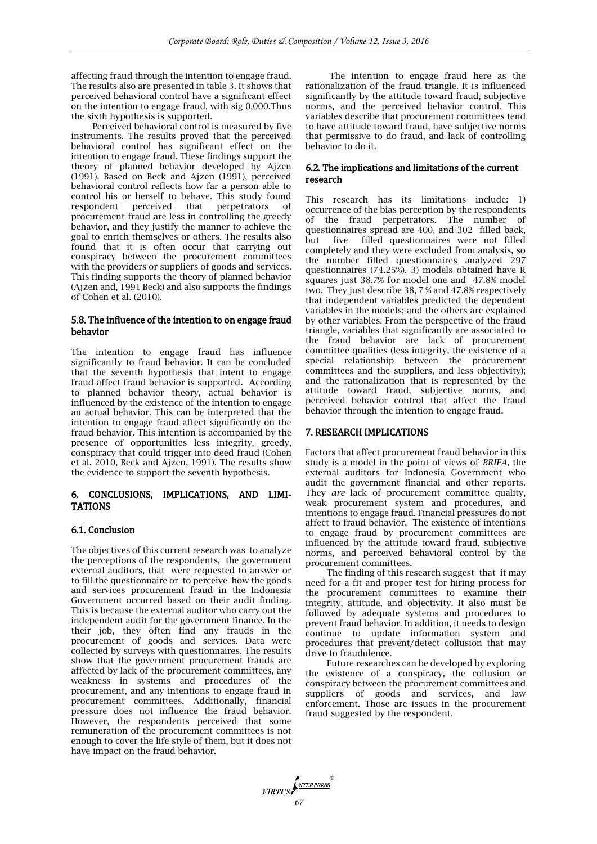affecting fraud through the intention to engage fraud. The results also are presented in table 3. It shows that perceived behavioral control have a significant effect on the intention to engage fraud, with sig 0,000.Thus the sixth hypothesis is supported.

Perceived behavioral control is measured by five instruments. The results proved that the perceived behavioral control has significant effect on the intention to engage fraud. These findings support the theory of planned behavior developed by Ajzen (1991). Based on Beck and Ajzen (1991), perceived behavioral control reflects how far a person able to control his or herself to behave. This study found respondent perceived that perpetrators of procurement fraud are less in controlling the greedy behavior, and they justify the manner to achieve the goal to enrich themselves or others. The results also found that it is often occur that carrying out conspiracy between the procurement committees with the providers or suppliers of goods and services. This finding supports the theory of planned behavior (Ajzen and, 1991 Beck) and also supports the findings of Cohen et al. (2010).

#### 5.8. The influence of the intention to on engage fraud behavior

The intention to engage fraud has influence significantly to fraud behavior. It can be concluded that the seventh hypothesis that intent to engage fraud affect fraud behavior is supported. According to planned behavior theory, actual behavior is influenced by the existence of the intention to engage an actual behavior. This can be interpreted that the intention to engage fraud affect significantly on the fraud behavior. This intention is accompanied by the presence of opportunities less integrity, greedy, conspiracy that could trigger into deed fraud (Cohen et al. 2010, Beck and Ajzen, 1991). The results show the evidence to support the seventh hypothesis.

## 6. CONCLUSIONS, IMPLICATIONS, AND LIMI-**TATIONS**

#### 6.1. Conclusion

The objectives of this current research was to analyze the perceptions of the respondents, the government external auditors, that were requested to answer or to fill the questionnaire or to perceive how the goods and services procurement fraud in the Indonesia Government occurred based on their audit finding. This is because the external auditor who carry out the independent audit for the government finance. In the their job, they often find any frauds in the procurement of goods and services. Data were collected by surveys with questionnaires*.* The results show that the government procurement frauds are affected by lack of the procurement committees, any weakness in systems and procedures of the procurement, and any intentions to engage fraud in procurement committees. Additionally, financial pressure does not influence the fraud behavior. However, the respondents perceived that some remuneration of the procurement committees is not enough to cover the life style of them, but it does not have impact on the fraud behavior.

The intention to engage fraud here as the rationalization of the fraud triangle. It is influenced significantly by the attitude toward fraud, subjective norms, and the perceived behavior control. This variables describe that procurement committees tend to have attitude toward fraud, have subjective norms that permissive to do fraud, and lack of controlling behavior to do it.

## 6.2. The implications and limitations of the current research

This research has its limitations include: 1) occurrence of the bias perception by the respondents of the fraud perpetrators. The number of questionnaires spread are 400, and 302 filled back, but five filled questionnaires were not filled completely and they were excluded from analysis, so the number filled questionnaires analyzed 297 questionnaires (74.25%). 3) models obtained have R squares just 38.7% for model one and 47.8% model two. They just describe 38, 7 % and 47.8% respectively that independent variables predicted the dependent variables in the models; and the others are explained by other variables. From the perspective of the fraud triangle, variables that significantly are associated to the fraud behavior are lack of procurement committee qualities (less integrity, the existence of a special relationship between the procurement committees and the suppliers, and less objectivity); and the rationalization that is represented by the attitude toward fraud, subjective norms, and perceived behavior control that affect the fraud behavior through the intention to engage fraud.

## 7. RESEARCH IMPLICATIONS

Factors that affect procurement fraud behavior in this study is a model in the point of views of *BRIFA,* the external auditors for Indonesia Government who audit the government financial and other reports. They *are* lack of procurement committee quality, weak procurement system and procedures, and intentions to engage fraud. Financial pressures do not affect to fraud behavior. The existence of intentions to engage fraud by procurement committees are influenced by the attitude toward fraud, subjective norms, and perceived behavioral control by the procurement committees.

The finding of this research suggest that it may need for a fit and proper test for hiring process for the procurement committees to examine their integrity, attitude, and objectivity. It also must be followed by adequate systems and procedures to prevent fraud behavior. In addition, it needs to design continue to update information system and procedures that prevent/detect collusion that may drive to fraudulence.

Future researches can be developed by exploring the existence of a conspiracy, the collusion or conspiracy between the procurement committees and suppliers of goods and services, and law enforcement. Those are issues in the procurement fraud suggested by the respondent.